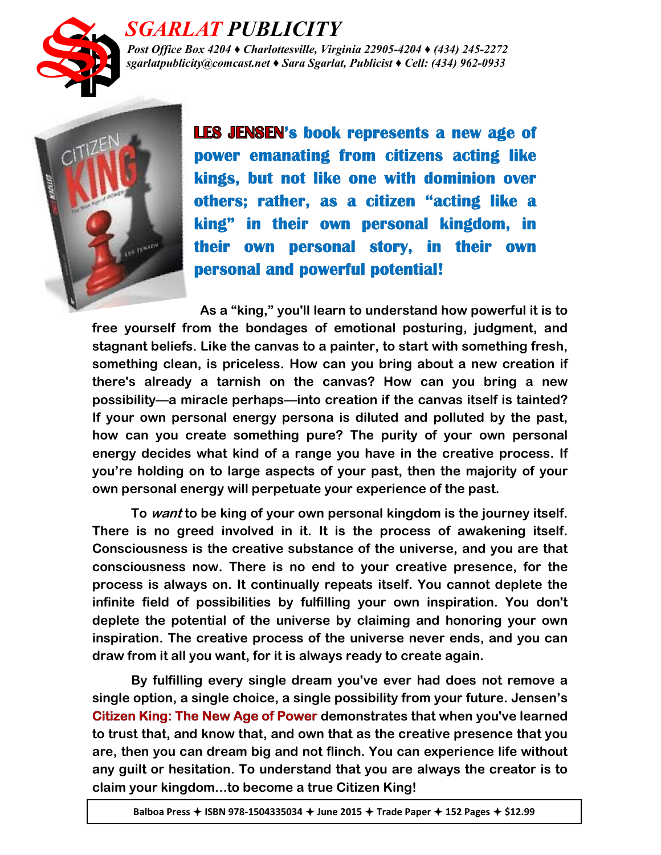

## *SGARLAT PUBLICITY*

*Post Office Box 4204 ♦ Charlottesville, Virginia 22905-4204 ♦ (434) 245-2272 sgarlatpublicity@comcast.net ♦ Sara Sgarlat, Publicist ♦ Cell: (434) 962-0933*



**LES JENSEN's book represents a new age of** power emanating from citizens acting like kings, but not like one with dominion over others; rather, as a citizen "acting like a king" in their own personal kingdom, in their own personal story, in their own **personal and powerful potential!** 

**As a "king," you'll learn to understand how powerful it is to free yourself from the bondages of emotional posturing, judgment, and stagnant beliefs. Like the canvas to a painter, to start with something fresh, something clean, is priceless. How can you bring about a new creation if there's already a tarnish on the canvas? How can you bring a new possibility—a miracle perhaps—into creation if the canvas itself is tainted? If your own personal energy persona is diluted and polluted by the past, how can you create something pure? The purity of your own personal energy decides what kind of a range you have in the creative process. If you're holding on to large aspects of your past, then the majority of your own personal energy will perpetuate your experience of the past.**

**To want to be king of your own personal kingdom is the journey itself. There is no greed involved in it. It is the process of awakening itself. Consciousness is the creative substance of the universe, and you are that consciousness now. There is no end to your creative presence, for the process is always on. It continually repeats itself. You cannot deplete the infinite field of possibilities by fulfilling your own inspiration. You don't deplete the potential of the universe by claiming and honoring your own inspiration. The creative process of the universe never ends, and you can draw from it all you want, for it is always ready to create again.** 

**By fulfilling every single dream you've ever had does not remove a single option, a single choice, a single possibility from your future. Jensen's Citizen King: The New Age of Power demonstrates that when you've learned to trust that, and know that, and own that as the creative presence that you are, then you can dream big and not flinch. You can experience life without any guilt or hesitation. To understand that you are always the creator is to claim your kingdom...to become a true Citizen King!**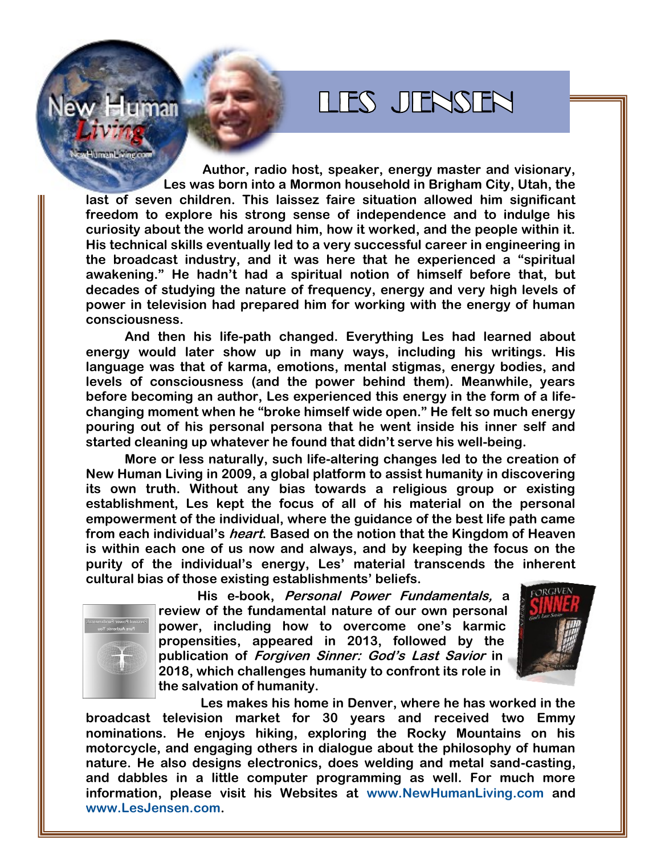## LIES JENSEN

nan **Author, radio host, speaker, energy master and visionary, Les was born into a Mormon household in Brigham City, Utah, the** 

**last of seven children. This laissez faire situation allowed him significant freedom to explore his strong sense of independence and to indulge his curiosity about the world around him, how it worked, and the people within it. His technical skills eventually led to a very successful career in engineering in the broadcast industry, and it was here that he experienced a "spiritual awakening." He hadn't had a spiritual notion of himself before that, but decades of studying the nature of frequency, energy and very high levels of power in television had prepared him for working with the energy of human consciousness.**

**And then his life-path changed. Everything Les had learned about energy would later show up in many ways, including his writings. His language was that of karma, emotions, mental stigmas, energy bodies, and levels of consciousness (and the power behind them). Meanwhile, years before becoming an author, Les experienced this energy in the form of a lifechanging moment when he "broke himself wide open." He felt so much energy pouring out of his personal persona that he went inside his inner self and started cleaning up whatever he found that didn't serve his well-being.**

**More or less naturally, such life-altering changes led to the creation of New Human Living in 2009, a global platform to assist humanity in discovering its own truth. Without any bias towards a religious group or existing establishment, Les kept the focus of all of his material on the personal empowerment of the individual, where the guidance of the best life path came from each individual's heart. Based on the notion that the Kingdom of Heaven is within each one of us now and always, and by keeping the focus on the purity of the individual's energy, Les' material transcends the inherent cultural bias of those existing establishments' beliefs.**



**His e-book, Personal Power Fundamentals, a review of the fundamental nature of our own personal power, including how to overcome one's karmic propensities, appeared in 2013, followed by the publication of Forgiven Sinner: God's Last Savior in 2018, which challenges humanity to confront its role in the salvation of humanity.**



**Les makes his home in Denver, where he has worked in the broadcast television market for 30 years and received two Emmy nominations. He enjoys hiking, exploring the Rocky Mountains on his motorcycle, and engaging others in dialogue about the philosophy of human nature. He also designs electronics, does welding and metal sand-casting, and dabbles in a little computer programming as well. For much more information, please visit his Websites at [www.NewHumanLiving.com](http://www.NewHumanLiving.com/) and [www.LesJensen.com.](http://www.LesJensen.com/)**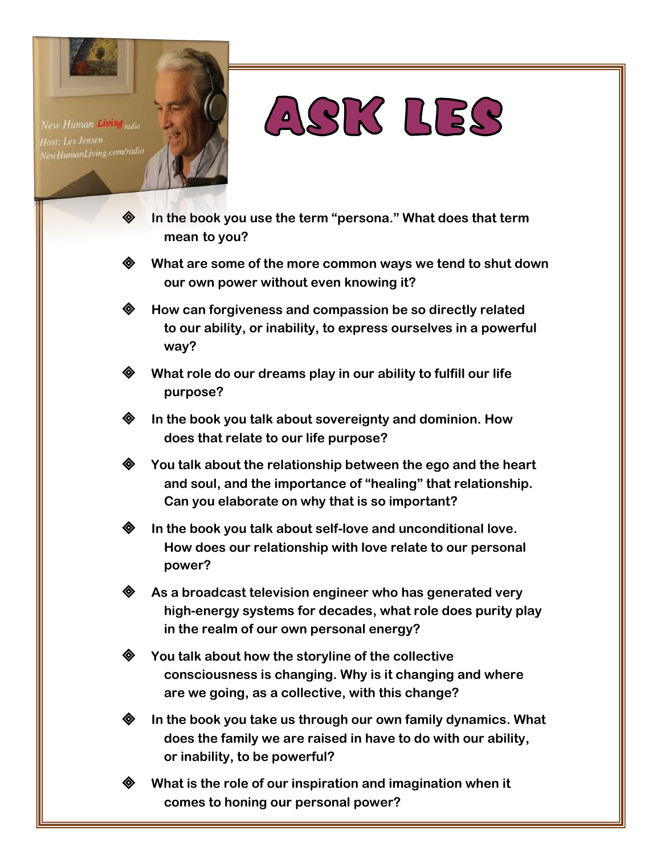New Human Living <sub>radio</sub> ast: Les Jensen ewHumanLiving.com/radio

# ASK LES

- **In the book you use the term "persona." What does that term mean to you?**
	- **What are some of the more common ways we tend to shut down our own power without even knowing it?**
	- **How can forgiveness and compassion be so directly related to our ability, or inability, to express ourselves in a powerful way?**
	- **What role do our dreams play in our ability to fulfill our life purpose?**

**In the book you talk about sovereignty and dominion. How does that relate to our life purpose?**

**You talk about the relationship between the ego and the heart and soul, and the importance of "healing" that relationship. Can you elaborate on why that is so important?**

**In the book you talk about self-love and unconditional love. How does our relationship with love relate to our personal power?**

**As a broadcast television engineer who has generated very high-energy systems for decades, what role does purity play in the realm of our own personal energy?**

**You talk about how the storyline of the collective consciousness is changing. Why is it changing and where are we going, as a collective, with this change?**

**In the book you take us through our own family dynamics. What does the family we are raised in have to do with our ability, or inability, to be powerful?**

**What is the role of our inspiration and imagination when it comes to honing our personal power?**